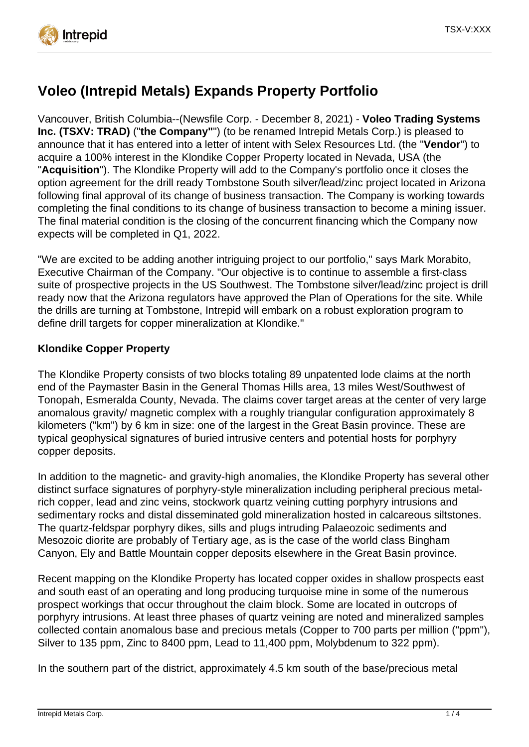

# **Voleo (Intrepid Metals) Expands Property Portfolio**

Vancouver, British Columbia--(Newsfile Corp. - December 8, 2021) - **Voleo Trading Systems Inc. (TSXV: TRAD)** ("**the Company"**") (to be renamed Intrepid Metals Corp.) is pleased to announce that it has entered into a letter of intent with Selex Resources Ltd. (the "**Vendor**") to acquire a 100% interest in the Klondike Copper Property located in Nevada, USA (the "**Acquisition**"). The Klondike Property will add to the Company's portfolio once it closes the option agreement for the drill ready Tombstone South silver/lead/zinc project located in Arizona following final approval of its change of business transaction. The Company is working towards completing the final conditions to its change of business transaction to become a mining issuer. The final material condition is the closing of the concurrent financing which the Company now expects will be completed in Q1, 2022.

"We are excited to be adding another intriguing project to our portfolio," says Mark Morabito, Executive Chairman of the Company. "Our objective is to continue to assemble a first-class suite of prospective projects in the US Southwest. The Tombstone silver/lead/zinc project is drill ready now that the Arizona regulators have approved the Plan of Operations for the site. While the drills are turning at Tombstone, Intrepid will embark on a robust exploration program to define drill targets for copper mineralization at Klondike."

## **Klondike Copper Property**

The Klondike Property consists of two blocks totaling 89 unpatented lode claims at the north end of the Paymaster Basin in the General Thomas Hills area, 13 miles West/Southwest of Tonopah, Esmeralda County, Nevada. The claims cover target areas at the center of very large anomalous gravity/ magnetic complex with a roughly triangular configuration approximately 8 kilometers ("km") by 6 km in size: one of the largest in the Great Basin province. These are typical geophysical signatures of buried intrusive centers and potential hosts for porphyry copper deposits.

In addition to the magnetic- and gravity-high anomalies, the Klondike Property has several other distinct surface signatures of porphyry-style mineralization including peripheral precious metalrich copper, lead and zinc veins, stockwork quartz veining cutting porphyry intrusions and sedimentary rocks and distal disseminated gold mineralization hosted in calcareous siltstones. The quartz-feldspar porphyry dikes, sills and plugs intruding Palaeozoic sediments and Mesozoic diorite are probably of Tertiary age, as is the case of the world class Bingham Canyon, Ely and Battle Mountain copper deposits elsewhere in the Great Basin province.

Recent mapping on the Klondike Property has located copper oxides in shallow prospects east and south east of an operating and long producing turquoise mine in some of the numerous prospect workings that occur throughout the claim block. Some are located in outcrops of porphyry intrusions. At least three phases of quartz veining are noted and mineralized samples collected contain anomalous base and precious metals (Copper to 700 parts per million ("ppm"), Silver to 135 ppm, Zinc to 8400 ppm, Lead to 11,400 ppm, Molybdenum to 322 ppm).

In the southern part of the district, approximately 4.5 km south of the base/precious metal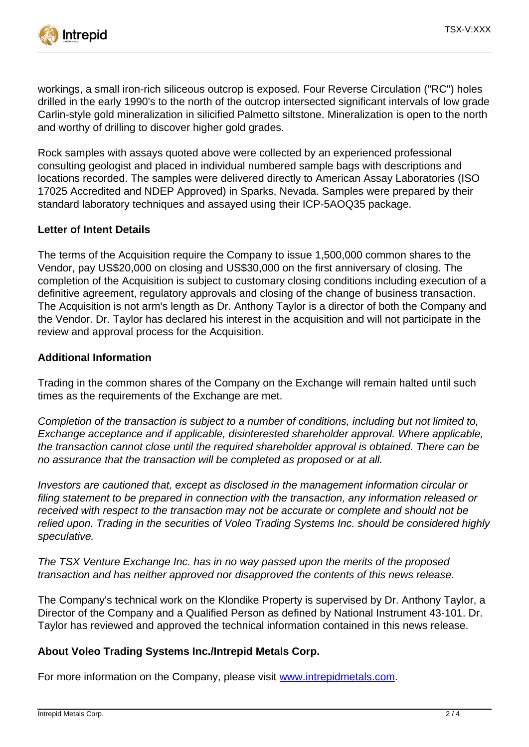

workings, a small iron-rich siliceous outcrop is exposed. Four Reverse Circulation ("RC") holes drilled in the early 1990's to the north of the outcrop intersected significant intervals of low grade Carlin-style gold mineralization in silicified Palmetto siltstone. Mineralization is open to the north and worthy of drilling to discover higher gold grades.

Rock samples with assays quoted above were collected by an experienced professional consulting geologist and placed in individual numbered sample bags with descriptions and locations recorded. The samples were delivered directly to American Assay Laboratories (ISO 17025 Accredited and NDEP Approved) in Sparks, Nevada. Samples were prepared by their standard laboratory techniques and assayed using their ICP-5AOQ35 package.

#### **Letter of Intent Details**

The terms of the Acquisition require the Company to issue 1,500,000 common shares to the Vendor, pay US\$20,000 on closing and US\$30,000 on the first anniversary of closing. The completion of the Acquisition is subject to customary closing conditions including execution of a definitive agreement, regulatory approvals and closing of the change of business transaction. The Acquisition is not arm's length as Dr. Anthony Taylor is a director of both the Company and the Vendor. Dr. Taylor has declared his interest in the acquisition and will not participate in the review and approval process for the Acquisition.

#### **Additional Information**

Trading in the common shares of the Company on the Exchange will remain halted until such times as the requirements of the Exchange are met.

Completion of the transaction is subject to a number of conditions, including but not limited to, Exchange acceptance and if applicable, disinterested shareholder approval. Where applicable, the transaction cannot close until the required shareholder approval is obtained. There can be no assurance that the transaction will be completed as proposed or at all.

Investors are cautioned that, except as disclosed in the management information circular or filing statement to be prepared in connection with the transaction, any information released or received with respect to the transaction may not be accurate or complete and should not be relied upon. Trading in the securities of Voleo Trading Systems Inc. should be considered highly speculative.

The TSX Venture Exchange Inc. has in no way passed upon the merits of the proposed transaction and has neither approved nor disapproved the contents of this news release.

The Company's technical work on the Klondike Property is supervised by Dr. Anthony Taylor, a Director of the Company and a Qualified Person as defined by National Instrument 43-101. Dr. Taylor has reviewed and approved the technical information contained in this news release.

## **About Voleo Trading Systems Inc./Intrepid Metals Corp.**

For more information on the Company, please visit [www.intrepidmetals.com.](https://www.newsfilecorp.com/redirect/aVzzzhoV25)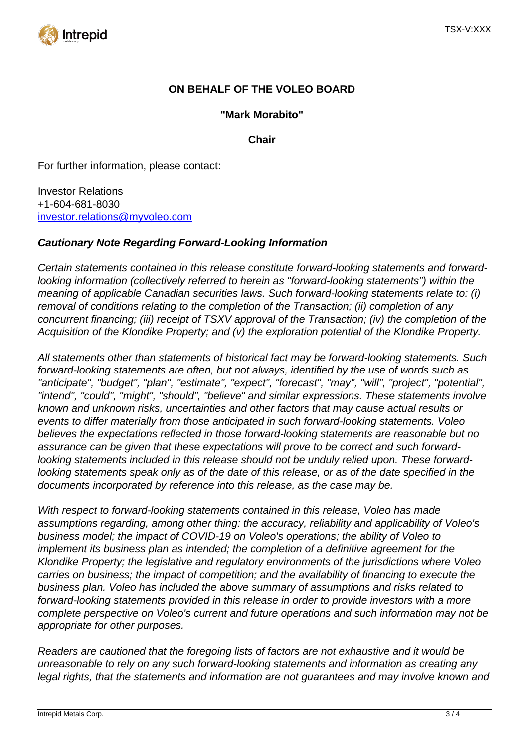

# **ON BEHALF OF THE VOLEO BOARD**

## **"Mark Morabito"**

**Chair**

For further information, please contact:

Investor Relations +1-604-681-8030 [investor.relations@myvoleo.com](mailto:investor.relations@myvoleo.com)

#### **Cautionary Note Regarding Forward-Looking Information**

Certain statements contained in this release constitute forward-looking statements and forwardlooking information (collectively referred to herein as "forward-looking statements") within the meaning of applicable Canadian securities laws. Such forward-looking statements relate to: (i) removal of conditions relating to the completion of the Transaction; (ii) completion of any concurrent financing; (iii) receipt of TSXV approval of the Transaction; (iv) the completion of the Acquisition of the Klondike Property; and (v) the exploration potential of the Klondike Property.

All statements other than statements of historical fact may be forward-looking statements. Such forward-looking statements are often, but not always, identified by the use of words such as "anticipate", "budget", "plan", "estimate", "expect", "forecast", "may", "will", "project", "potential", "intend", "could", "might", "should", "believe" and similar expressions. These statements involve known and unknown risks, uncertainties and other factors that may cause actual results or events to differ materially from those anticipated in such forward-looking statements. Voleo believes the expectations reflected in those forward-looking statements are reasonable but no assurance can be given that these expectations will prove to be correct and such forwardlooking statements included in this release should not be unduly relied upon. These forwardlooking statements speak only as of the date of this release, or as of the date specified in the documents incorporated by reference into this release, as the case may be.

With respect to forward-looking statements contained in this release, Voleo has made assumptions regarding, among other thing: the accuracy, reliability and applicability of Voleo's business model; the impact of COVID-19 on Voleo's operations; the ability of Voleo to implement its business plan as intended; the completion of a definitive agreement for the Klondike Property; the legislative and regulatory environments of the jurisdictions where Voleo carries on business; the impact of competition; and the availability of financing to execute the business plan. Voleo has included the above summary of assumptions and risks related to forward-looking statements provided in this release in order to provide investors with a more complete perspective on Voleo's current and future operations and such information may not be appropriate for other purposes.

Readers are cautioned that the foregoing lists of factors are not exhaustive and it would be unreasonable to rely on any such forward-looking statements and information as creating any legal rights, that the statements and information are not guarantees and may involve known and